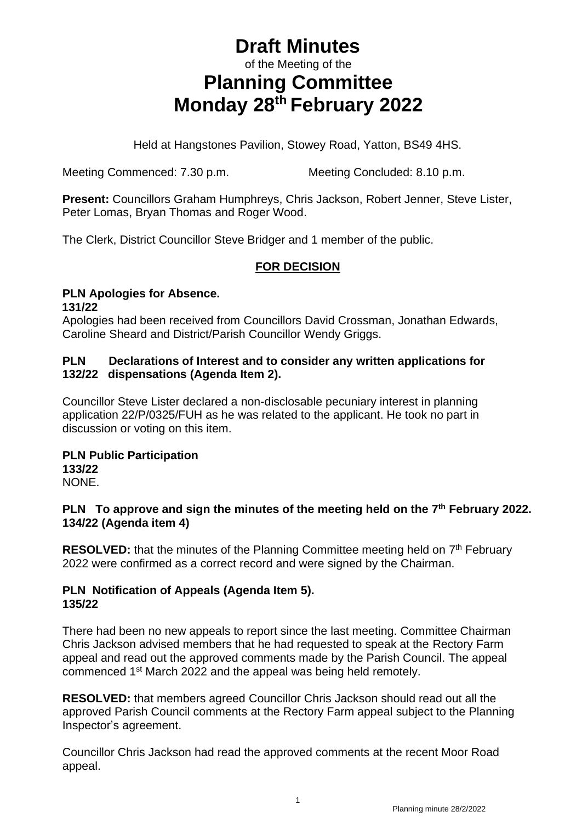# **Draft Minutes** of the Meeting of the **Planning Committee Monday 28th February 2022**

Held at Hangstones Pavilion, Stowey Road, Yatton, BS49 4HS.

Meeting Commenced: 7.30 p.m. Meeting Concluded: 8.10 p.m.

**Present:** Councillors Graham Humphreys, Chris Jackson, Robert Jenner, Steve Lister, Peter Lomas, Bryan Thomas and Roger Wood.

The Clerk, District Councillor Steve Bridger and 1 member of the public.

## **FOR DECISION**

### **PLN Apologies for Absence. 131/22**

Apologies had been received from Councillors David Crossman, Jonathan Edwards, Caroline Sheard and District/Parish Councillor Wendy Griggs.

### **PLN Declarations of Interest and to consider any written applications for 132/22 dispensations (Agenda Item 2).**

Councillor Steve Lister declared a non-disclosable pecuniary interest in planning application 22/P/0325/FUH as he was related to the applicant. He took no part in discussion or voting on this item.

#### **PLN Public Participation 133/22** NONE.

### **PLN To approve and sign the minutes of the meeting held on the 7 th February 2022. 134/22 (Agenda item 4)**

RESOLVED: that the minutes of the Planning Committee meeting held on 7<sup>th</sup> February 2022 were confirmed as a correct record and were signed by the Chairman.

### **PLN Notification of Appeals (Agenda Item 5). 135/22**

There had been no new appeals to report since the last meeting. Committee Chairman Chris Jackson advised members that he had requested to speak at the Rectory Farm appeal and read out the approved comments made by the Parish Council. The appeal commenced 1<sup>st</sup> March 2022 and the appeal was being held remotely.

**RESOLVED:** that members agreed Councillor Chris Jackson should read out all the approved Parish Council comments at the Rectory Farm appeal subject to the Planning Inspector's agreement.

Councillor Chris Jackson had read the approved comments at the recent Moor Road appeal.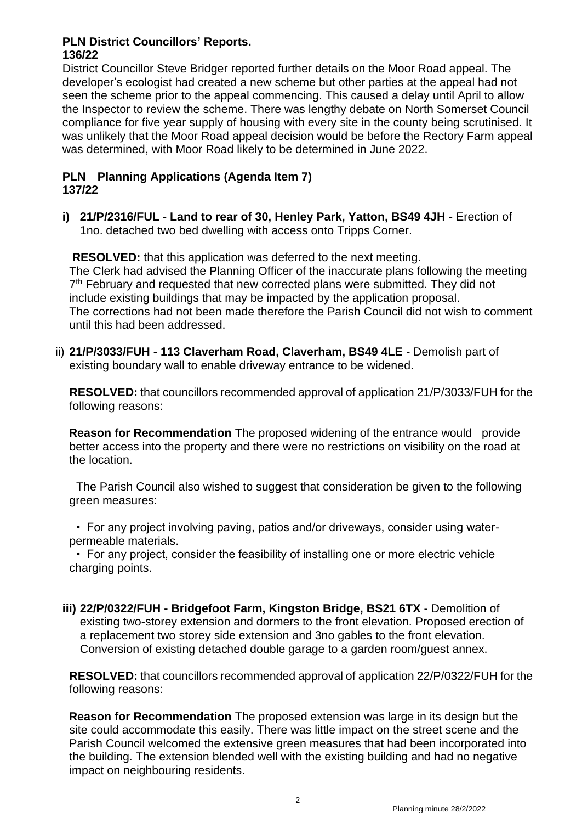# **PLN District Councillors' Reports.**

**136/22**

District Councillor Steve Bridger reported further details on the Moor Road appeal. The developer's ecologist had created a new scheme but other parties at the appeal had not seen the scheme prior to the appeal commencing. This caused a delay until April to allow the Inspector to review the scheme. There was lengthy debate on North Somerset Council compliance for five year supply of housing with every site in the county being scrutinised. It was unlikely that the Moor Road appeal decision would be before the Rectory Farm appeal was determined, with Moor Road likely to be determined in June 2022.

### **PLN Planning Applications (Agenda Item 7) 137/22**

**i) 21/P/2316/FUL - Land to rear of 30, Henley Park, Yatton, BS49 4JH** - Erection of 1no. detached two bed dwelling with access onto Tripps Corner.

 **RESOLVED:** that this application was deferred to the next meeting. The Clerk had advised the Planning Officer of the inaccurate plans following the meeting 7<sup>th</sup> February and requested that new corrected plans were submitted. They did not include existing buildings that may be impacted by the application proposal. The corrections had not been made therefore the Parish Council did not wish to comment until this had been addressed.

ii) **21/P/3033/FUH - 113 Claverham Road, Claverham, BS49 4LE** - Demolish part of existing boundary wall to enable driveway entrance to be widened.

**RESOLVED:** that councillors recommended approval of application 21/P/3033/FUH for the following reasons:

**Reason for Recommendation** The proposed widening of the entrance would provide better access into the property and there were no restrictions on visibility on the road at the location.

The Parish Council also wished to suggest that consideration be given to the following green measures:

• For any project involving paving, patios and/or driveways, consider using waterpermeable materials.

• For any project, consider the feasibility of installing one or more electric vehicle charging points.

**iii) 22/P/0322/FUH - Bridgefoot Farm, Kingston Bridge, BS21 6TX** - Demolition of existing two-storey extension and dormers to the front elevation. Proposed erection of a replacement two storey side extension and 3no gables to the front elevation. Conversion of existing detached double garage to a garden room/guest annex.

**RESOLVED:** that councillors recommended approval of application 22/P/0322/FUH for the following reasons:

 **Reason for Recommendation** The proposed extension was large in its design but the site could accommodate this easily. There was little impact on the street scene and the Parish Council welcomed the extensive green measures that had been incorporated into the building. The extension blended well with the existing building and had no negative impact on neighbouring residents.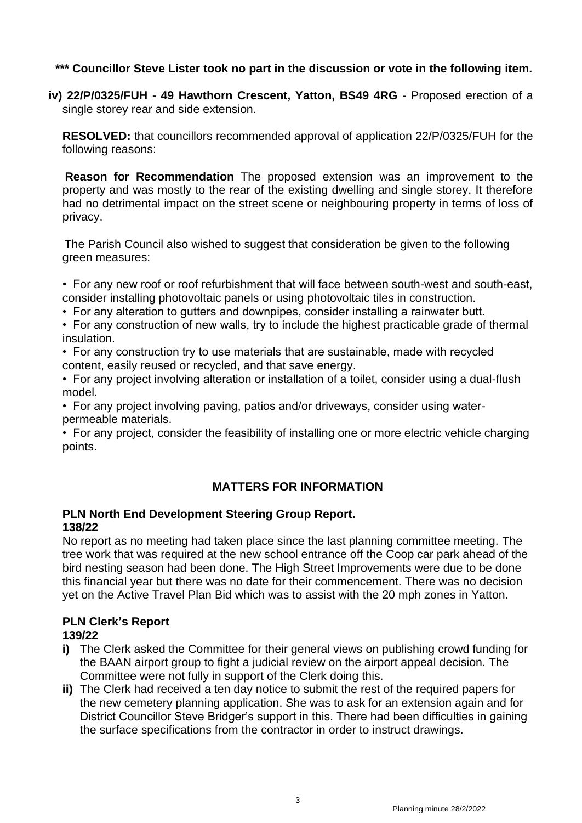**\*\*\* Councillor Steve Lister took no part in the discussion or vote in the following item.**

**iv) 22/P/0325/FUH - 49 Hawthorn Crescent, Yatton, BS49 4RG** - Proposed erection of a single storey rear and side extension.

**RESOLVED:** that councillors recommended approval of application 22/P/0325/FUH for the following reasons:

 **Reason for Recommendation** The proposed extension was an improvement to the property and was mostly to the rear of the existing dwelling and single storey. It therefore had no detrimental impact on the street scene or neighbouring property in terms of loss of privacy.

 The Parish Council also wished to suggest that consideration be given to the following green measures:

- For any new roof or roof refurbishment that will face between south-west and south-east, consider installing photovoltaic panels or using photovoltaic tiles in construction.
- For any alteration to gutters and downpipes, consider installing a rainwater butt.
- For any construction of new walls, try to include the highest practicable grade of thermal insulation.
- For any construction try to use materials that are sustainable, made with recycled content, easily reused or recycled, and that save energy.
- For any project involving alteration or installation of a toilet, consider using a dual-flush model.
- For any project involving paving, patios and/or driveways, consider using waterpermeable materials.
- For any project, consider the feasibility of installing one or more electric vehicle charging points.

## **MATTERS FOR INFORMATION**

### **PLN North End Development Steering Group Report. 138/22**

No report as no meeting had taken place since the last planning committee meeting. The tree work that was required at the new school entrance off the Coop car park ahead of the bird nesting season had been done. The High Street Improvements were due to be done this financial year but there was no date for their commencement. There was no decision yet on the Active Travel Plan Bid which was to assist with the 20 mph zones in Yatton.

### **PLN Clerk's Report**

### **139/22**

- **i)** The Clerk asked the Committee for their general views on publishing crowd funding for the BAAN airport group to fight a judicial review on the airport appeal decision. The Committee were not fully in support of the Clerk doing this.
- **ii)** The Clerk had received a ten day notice to submit the rest of the required papers for the new cemetery planning application. She was to ask for an extension again and for District Councillor Steve Bridger's support in this. There had been difficulties in gaining the surface specifications from the contractor in order to instruct drawings.